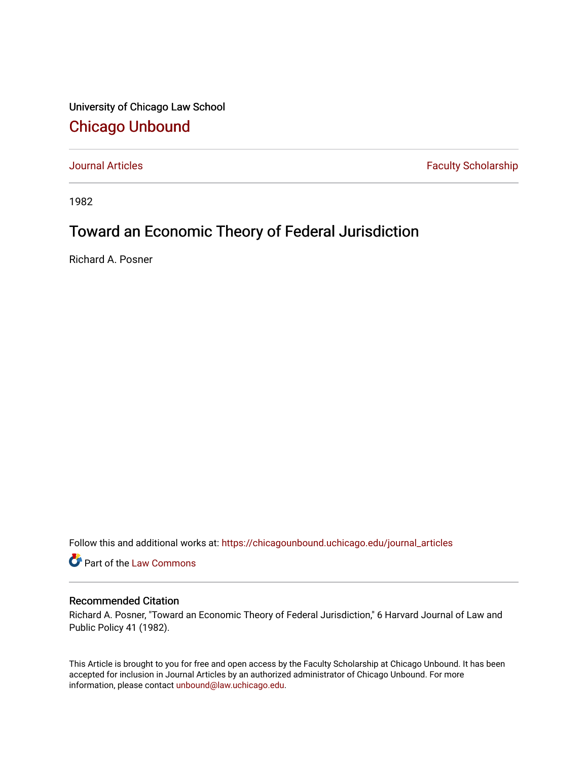University of Chicago Law School [Chicago Unbound](https://chicagounbound.uchicago.edu/)

[Journal Articles](https://chicagounbound.uchicago.edu/journal_articles) **Faculty Scholarship Faculty Scholarship** 

1982

## Toward an Economic Theory of Federal Jurisdiction

Richard A. Posner

Follow this and additional works at: [https://chicagounbound.uchicago.edu/journal\\_articles](https://chicagounbound.uchicago.edu/journal_articles?utm_source=chicagounbound.uchicago.edu%2Fjournal_articles%2F1832&utm_medium=PDF&utm_campaign=PDFCoverPages) 

Part of the [Law Commons](http://network.bepress.com/hgg/discipline/578?utm_source=chicagounbound.uchicago.edu%2Fjournal_articles%2F1832&utm_medium=PDF&utm_campaign=PDFCoverPages)

## Recommended Citation

Richard A. Posner, "Toward an Economic Theory of Federal Jurisdiction," 6 Harvard Journal of Law and Public Policy 41 (1982).

This Article is brought to you for free and open access by the Faculty Scholarship at Chicago Unbound. It has been accepted for inclusion in Journal Articles by an authorized administrator of Chicago Unbound. For more information, please contact [unbound@law.uchicago.edu](mailto:unbound@law.uchicago.edu).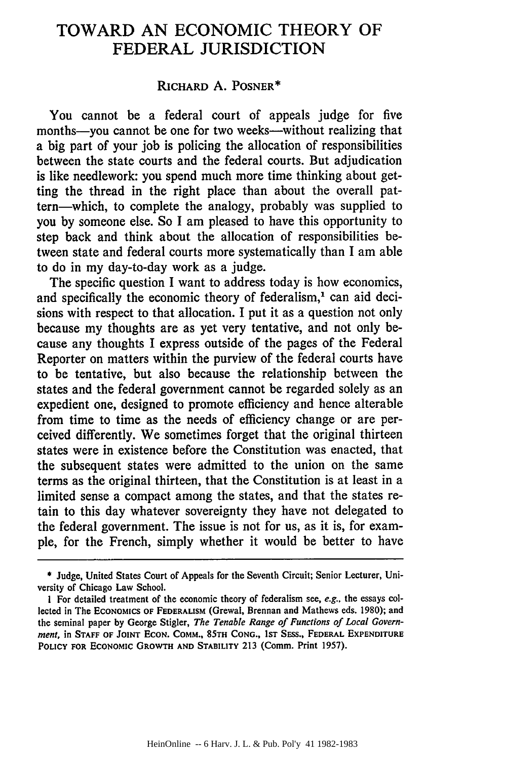## TOWARD AN ECONOMIC THEORY OF FEDERAL JURISDICTION

## RICHARD A. POSNER\*

You cannot be a federal court of appeals judge for five months-you cannot be one for two weeks-without realizing that a big part of your job is policing the allocation of responsibilities between the state courts and the federal courts. But adjudication is like needlework: you spend much more time thinking about getting the thread in the right place than about the overall pattern-which, to complete the analogy, probably was supplied to you by someone else. So I am pleased to have this opportunity to step back and think about the allocation of responsibilities between state and federal courts more systematically than I am able to do in my day-to-day work as a judge.

The specific question I want to address today is how economics, and specifically the economic theory of federalism,<sup>1</sup> can aid decisions with respect to that allocation. I put it as a question not only because my thoughts are as yet very tentative, and not only because any thoughts I express outside of the pages of the Federal Reporter on matters within the purview of the federal courts have to be tentative, but also because the relationship between the states and the federal government cannot be regarded solely as an expedient one, designed to promote efficiency and hence alterable from time to time as the needs of efficiency change or are perceived differently. We sometimes forget that the original thirteen states were in existence before the Constitution was enacted, that the subsequent states were admitted to the union on the same terms as the original thirteen, that the Constitution is at least in a limited sense a compact among the states, and that the states retain to this day whatever sovereignty they have not delegated to the federal government. The issue is not for us, as it is, for example, for the French, simply whether it would be better to have

**<sup>\*</sup>** Judge, United States Court of Appeals for the Seventh Circuit; Senior Lecturer, University of Chicago Law School.

**I** For detailed treatment of the economic theory of federalism see, *e.g.,* the essays collected in The **ECONOMICS** OF FEDERALISM (Grewal, Brennan and Mathews eds. 1980); and the seminal paper by George Stigler, *The Tenable Range of Functions of Local Government, in Staff of JOINT ECON. COMM., 85TH CONG., 1st Sess., FEDERAL EXPENDITURE* **POLICY FOR ECONOMIC GROWTH AND STABILITY 213** (Comm. Print **1957).**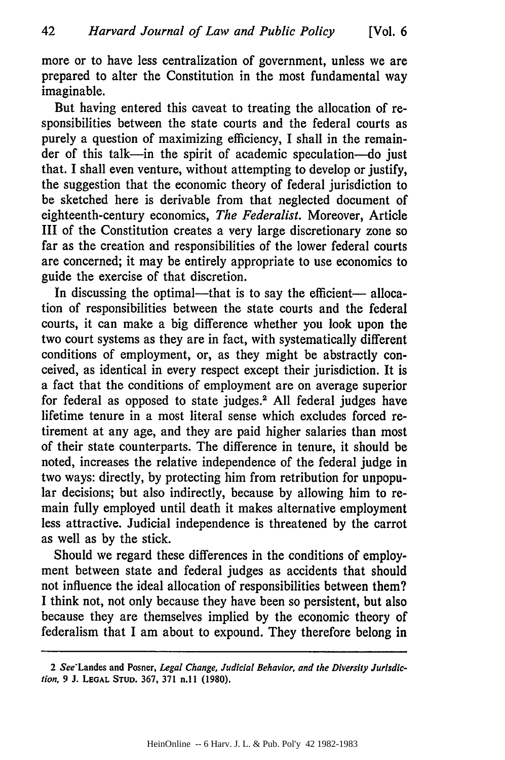more or to have less centralization of government, unless we are prepared to alter the Constitution in the most fundamental way imaginable.

But having entered this caveat to treating the allocation of responsibilities between the state courts and the federal courts as purely a question of maximizing efficiency, I shall in the remainder of this talk-in the spirit of academic speculation-do just that. I shall even venture, without attempting to develop or justify, the suggestion that the economic theory of federal jurisdiction to be sketched here is derivable from that neglected document of eighteenth-century economics, *The Federalist.* Moreover, Article III of the Constitution creates a very large discretionary zone so far as the creation and responsibilities of the lower federal courts are concerned; it may be entirely appropriate to use economics to guide the exercise of that discretion.

In discussing the optimal---that is to say the efficient--- allocation of responsibilities between the state courts and the federal courts, it can make a big difference whether you look upon the two court systems as they are in fact, with systematically different conditions of employment, or, as they might be abstractly conceived, as identical in every respect except their jurisdiction. It is a fact that the conditions of employment are on average superior for federal as opposed to state judges.<sup>2</sup> All federal judges have lifetime tenure in a most literal sense which excludes forced retirement at any age, and they are paid higher salaries than most of their state counterparts. The difference in tenure, it should be noted, increases the relative independence of the federal judge in two ways: directly, by protecting him from retribution for unpopular decisions; but also indirectly, because by allowing him to remain fully employed until death it makes alternative employment less attractive. Judicial independence is threatened by the carrot as well as by the stick.

Should we regard these differences in the conditions of employment between state and federal judges as accidents that should not influence the ideal allocation of responsibilities between them? I think not, not only because they have been so persistent, but also because they are themselves implied by the economic theory of federalism that I am about to expound. They therefore belong in

<sup>2</sup> See-Landes and Posner, *Legal Change, Judicial Behavior, and the Diversity Jurisdiction,* 9 **J. LEGAL STUD. 367, 371** n.l 1 **(1980).**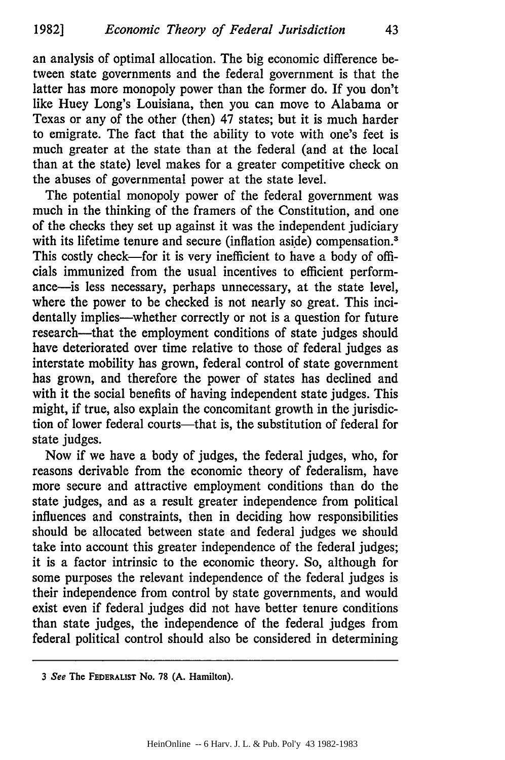an analysis of optimal allocation. The big economic difference between state governments and the federal government is that the latter has more monopoly power than the former do. If you don't like Huey Long's Louisiana, then you can move to Alabama or Texas or any of the other (then) 47 states; but it is much harder to emigrate. The fact that the ability to vote with one's feet is much greater at the state than at the federal (and at the local than at the state) level makes for a greater competitive check on the abuses of governmental power at the state level.

The potential monopoly power of the federal government was much in the thinking of the framers of the Constitution, and one of the checks they set up against it was the independent judiciary with its lifetime tenure and secure (inflation aside) compensation.<sup>3</sup> This costly check—for it is very inefficient to have a body of officials immunized from the usual incentives to efficient performance-is less necessary, perhaps unnecessary, at the state level, where the power to be checked is not nearly so great. This incidentally implies—whether correctly or not is a question for future research-that the employment conditions of state judges should have deteriorated over time relative to those of federal judges as interstate mobility has grown, federal control of state government has grown, and therefore the power of states has declined and with it the social benefits of having independent state judges. This might, if true, also explain the concomitant growth in the jurisdiction of lower federal courts—that is, the substitution of federal for state judges.

Now if we have a body of judges, the federal judges, who, for reasons derivable from the economic theory of federalism, have more secure and attractive employment conditions than do the state judges, and as a result greater independence from political influences and constraints, then in deciding how responsibilities should be allocated between state and federal judges we should take into account this greater independence of the federal judges; it is a factor intrinsic to the economic theory. So, although for some purposes the relevant independence of the federal judges is their independence from control by state governments, and would exist even if federal judges did not have better tenure conditions than state judges, the independence of the federal judges from federal political control should also be considered in determining

*<sup>3</sup>* See The **FEDERALIST** No. 78 **(A.** Hamilton).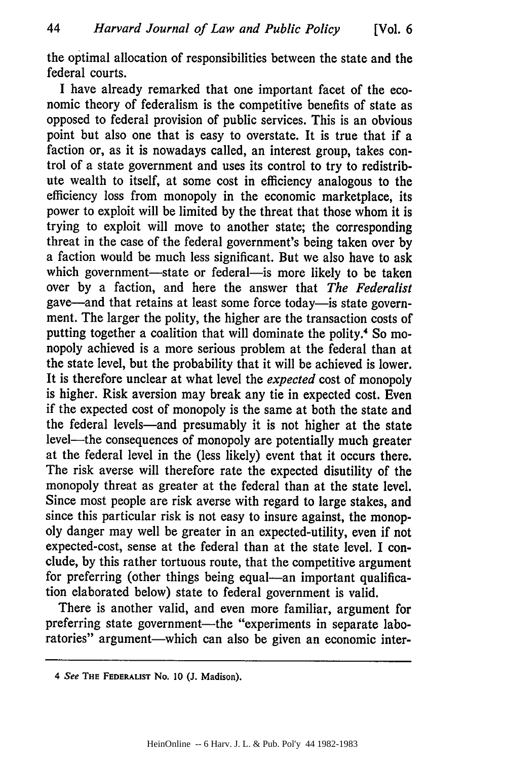the optimal allocation of responsibilities between the state and the federal courts.

I have already remarked that one important facet of the economic theory of federalism is the competitive benefits of state as opposed to federal provision of public services. This is an obvious point but also one that is easy to overstate. It is true that if a faction or, as it is nowadays called, an interest group, takes control of a state government and uses its control to try to redistribute wealth to itself, at some cost in efficiency analogous to the efficiency loss from monopoly in the economic marketplace, its power to exploit will be limited by the threat that those whom it is trying to exploit will move to another state; the corresponding threat in the case of the federal government's being taken over by a faction would be much less significant. But we also have to ask which government-state or federal-is more likely to be taken over by a faction, and here the answer that *The Federalist* gave-and that retains at least some force today-is state government. The larger the polity, the higher are the transaction costs of putting together a coalition that will dominate the polity.<sup>4</sup> So monopoly achieved is a more serious problem at the federal than at the state level, but the probability that it will be achieved is lower. It is therefore unclear at what level the *expected* cost of monopoly is higher. Risk aversion may break any tie in expected cost. Even if the expected cost of monopoly is the same at both the state and the federal levels-and presumably it is not higher at the state level-the consequences of monopoly are potentially much greater at the federal level in the (less likely) event that it occurs there. The risk averse will therefore rate the expected disutility of the monopoly threat as greater at the federal than at the state level. Since most people are risk averse with regard to large stakes, and since this particular risk is not easy to insure against, the monopoly danger may well be greater in an expected-utility, even if not expected-cost, sense at the federal than at the state level. I conclude, by this rather tortuous route, that the competitive argument for preferring (other things being equal—an important qualification elaborated below) state to federal government is valid.

There is another valid, and even more familiar, argument for preferring state government-the "experiments in separate laboratories" argument-which can also be given an economic inter-

<sup>4</sup> **See THE FEDERALIST** No. **10 (J.** Madison).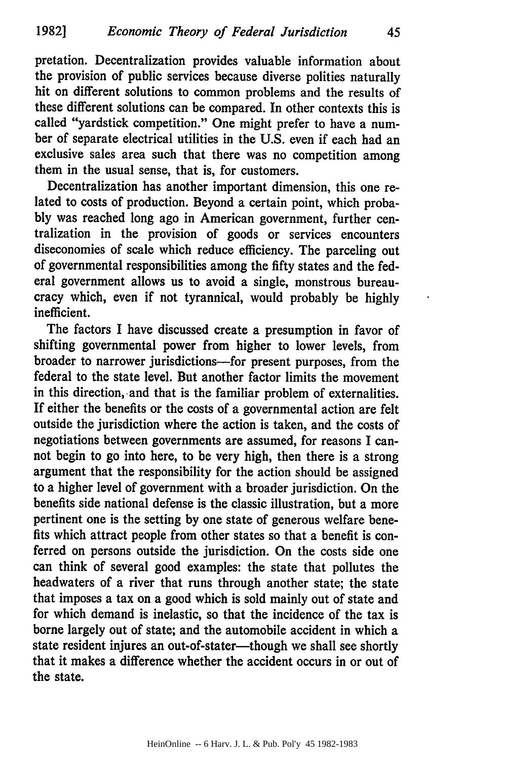pretation. Decentralization provides valuable information about the provision of public services because diverse polities naturally hit on different solutions to common problems and the results of these different solutions can be compared. In other contexts this is called "yardstick competition." One might prefer to have a number of separate electrical utilities in the **U.S.** even if each had an exclusive sales area such that there was no competition among them in the usual sense, that is, for customers.

Decentralization has another important dimension, this one related to costs of production. Beyond a certain point, which proba**bly** was reached long ago in American government, further centralization in the provision of goods or services encounters diseconomies of scale which reduce efficiency. The parceling out of governmental responsibilities among the fifty states and the federal government allows us to avoid a single, monstrous bureaucracy which, even if not tyrannical, would probably be **highly** inefficient.

The factors **I** have discussed create a presumption in favor of shifting governmental power from higher to lower levels, from broader to narrower jurisdictions-for present purposes, from the federal to the state level. But another factor limits the movement in this direction, and that is the familiar problem of externalities. If either the benefits or the costs of a governmental action are felt outside the jurisdiction where the action is taken, and the costs of negotiations between governments are assumed, for reasons **I** cannot begin to go into here, to be very high, then there is a strong argument that the responsibility for the action should be assigned to a higher level of government with a broader jurisdiction. On the benefits side national defense is the classic illustration, but a more pertinent one is the setting **by** one state of generous welfare benefits which attract people from other states so that a benefit is conferred on persons outside the jurisdiction. On the costs side one can think of several good examples: the state that pollutes the headwaters of a river that runs through another state; the state that imposes a tax on a good which is sold mainly out of state and for which demand is inelastic, so that the incidence of the tax is borne largely out of state; and the automobile accident in which a state resident injures an out-of-stater-though we shall see shortly that it makes a difference whether the accident occurs in or out of the state.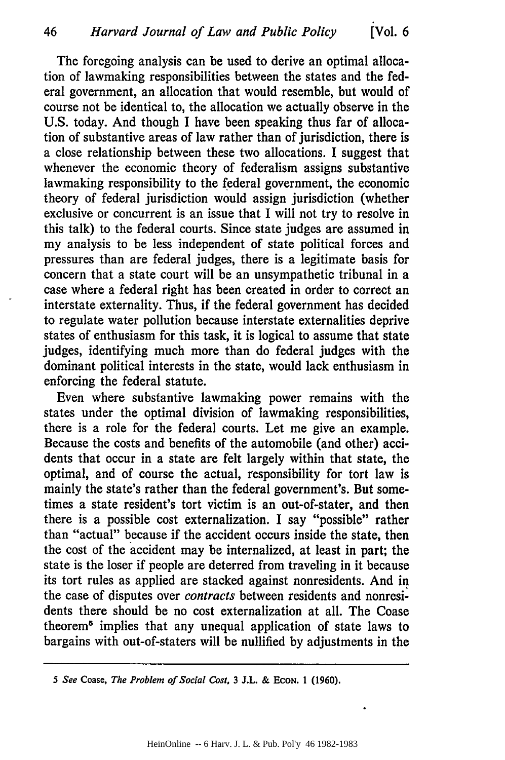The foregoing analysis can be used to derive an optimal allocation of lawmaking responsibilities between the states and the federal government, an allocation that would resemble, but would of course not be identical to, the allocation we actually observe in the U.S. today. And though I have been speaking thus far of allocation of substantive areas of law rather than of jurisdiction, there is a close relationship between these two allocations. I suggest that whenever the economic theory of federalism assigns substantive lawmaking responsibility to the federal government, the economic theory of federal jurisdiction would assign jurisdiction (whether exclusive or concurrent is an issue that I will not try to resolve in this talk) to the federal courts. Since state judges are assumed in my analysis to be less independent of state political forces and pressures than are federal judges, there is a legitimate basis for concern that a state court will be an unsympathetic tribunal in a case where a federal right has been created in order to correct an interstate externality. Thus, if the federal government has decided to regulate water pollution because interstate externalities deprive states of enthusiasm for this task, it is logical to assume that state judges, identifying much more than do federal judges with the dominant political interests in the state, would lack enthusiasm in enforcing the federal statute.

Even where substantive lawmaking power remains with the states under the optimal division of lawmaking responsibilities, there is a role for the federal courts. Let me give an example. Because the costs and benefits of the automobile (and other) accidents that occur in a state are felt largely within that state, the optimal, and of course the actual, responsibility for tort law is mainly the state's rather than the federal government's. But sometimes a state resident's tort victim is an out-of-stater, and then there is a possible cost externalization. I say "possible" rather than "actual" because if the accident occurs inside the state, then the cost of the accident may be internalized, at least in part; the state is the loser if people are deterred from traveling in it because its tort rules as applied are stacked against nonresidents. And in the case of disputes over *contracts* between residents and nonresidents there should be no cost externalization at all. The Coase theorem5 implies that any unequal application of state laws to bargains with out-of-staters will be nullified by adjustments in the

*<sup>5</sup> See* **Coase,** *The Problem of Social Cost,* **3 J.L. & EcoN. 1 (1960).**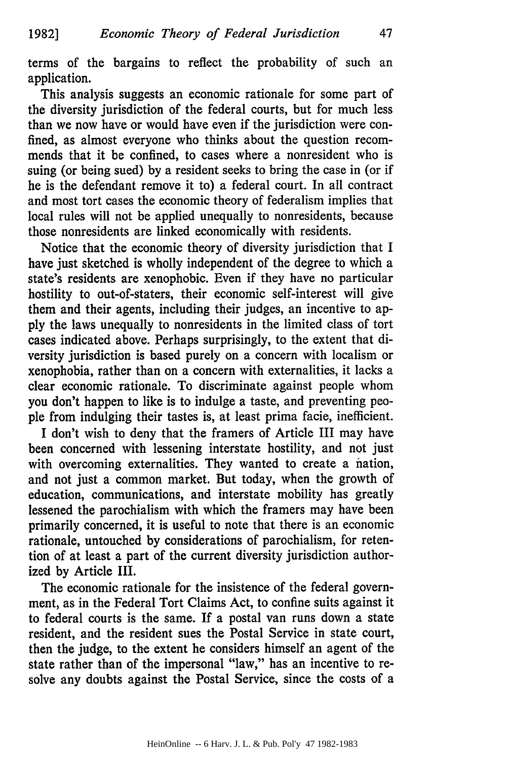terms of the bargains to reflect the probability of such an application.

47

This analysis suggests an economic rationale for some part of the diversity jurisdiction of the federal courts, but for much less than we now have or would have even if the jurisdiction were confined, as almost everyone who thinks about the question recommends that it be confined, to cases where a nonresident who is suing (or being sued) by a resident seeks to bring the case in (or if he is the defendant remove it to) a federal court. In all contract and most tort cases the economic theory of federalism implies that local rules will not be applied unequally to nonresidents, because those nonresidents are linked economically with residents.

Notice that the economic theory of diversity jurisdiction that I have just sketched is wholly independent of the degree to which a state's residents are xenophobic. Even if they have no particular hostility to out-of-staters, their economic self-interest will give them and their agents, including their judges, an incentive to apply the laws unequally to nonresidents in the limited class of tort cases indicated above. Perhaps surprisingly, to the extent that diversity jurisdiction is based purely on a concern with localism or xenophobia, rather than on a concern with externalities, it lacks a clear economic rationale. To discriminate against people whom you don't happen to like is to indulge a taste, and preventing people from indulging their tastes is, at least prima facie, inefficient.

I don't wish to deny that the framers of Article III may have been concerned with lessening interstate hostility, and not just with overcoming externalities. They wanted to create a nation, and not just a common market. But today, when the growth of education, communications, and interstate mobility has greatly lessened the parochialism with which the framers may have been primarily concerned, it is useful to note that there is an economic rationale, untouched by considerations of parochialism, for retention of at least a part of the current diversity jurisdiction authorized by Article III.

The economic rationale for the insistence of the federal government, as in the Federal Tort Claims Act, to confine suits against it to federal courts is the same. If a postal van runs down a state resident, and the resident sues the Postal Service in state court, then the judge, to the extent he considers himself an agent of the state rather than of the impersonal "law," has an incentive to resolve any doubts against the Postal Service, since the costs of a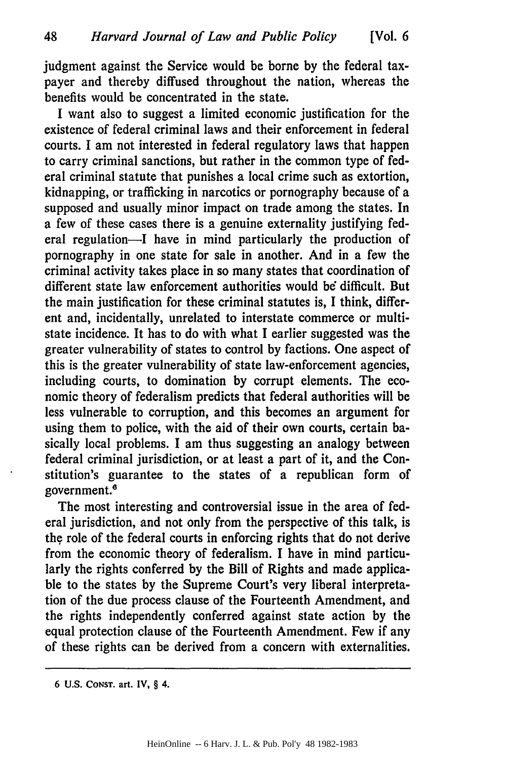judgment against the Service would be borne **by** the federal taxpayer and thereby diffused throughout the nation, whereas the benefits would be concentrated in the state.

I want also to suggest a limited economic justification for the existence of federal criminal laws and their enforcement in federal courts. I am not interested in federal regulatory laws that happen to carry criminal sanctions, but rather in the common type of federal criminal statute that punishes a local crime such as extortion, kidnapping, or trafficking in narcotics or pornography because of a supposed and usually minor impact on trade among the states. In a few of these cases there is a genuine externality justifying federal regulation-I have in mind particularly the production of pornography in one state for sale in another. And in a few the criminal activity takes place in so many states that coordination of different state law enforcement authorities would be difficult. But the main justification for these criminal statutes is, I think, different and, incidentally, unrelated to interstate commerce or multistate incidence. It has to do with what I earlier suggested was the greater vulnerability of states to control by factions. One aspect of this is the greater vulnerability of state law-enforcement agencies, including courts, to domination by corrupt elements. The economic theory of federalism predicts that federal authorities will be less vulnerable to corruption, and this becomes an argument for using them to police, with the aid of their own courts, certain basically local problems. I am thus suggesting an analogy between federal criminal jurisdiction, or at least a part of it, and the Constitution's guarantee to the states of a republican form of government.<sup>6</sup>

The most interesting and controversial issue in the area of federal jurisdiction, and not only from the perspective of this talk, is the role of the federal courts in enforcing rights that do not derive from the economic theory of federalism. I have in mind particularly the rights conferred by the Bill of Rights and made applicable to the states by the Supreme Court's very liberal interpretation of the due process clause of the Fourteenth Amendment, and the rights independently conferred against state action by the equal protection clause of the Fourteenth Amendment. Few if any of these rights can be derived from a concern with externalities.

**<sup>6</sup> U.S.** CONST. art. IV, § 4.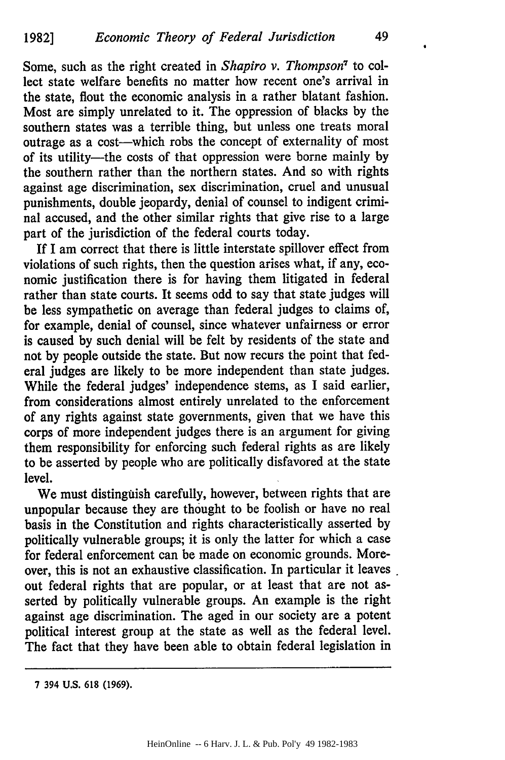Some, such as the right created in *Shapiro v. Thompson7* to collect state welfare benefits no matter how recent one's arrival in the state, flout the economic analysis in a rather blatant fashion. Most are simply unrelated to it. The oppression of blacks by the southern states was a terrible thing, but unless one treats moral outrage as a cost-which robs the concept of externality of most of its utility-the costs of that oppression were borne mainly by the southern rather than the northern states. And so with rights against age discrimination, sex discrimination, cruel and unusual punishments, double jeopardy, denial of counsel to indigent criminal accused, and the other similar rights that give rise to a large part of the jurisdiction of the federal courts today.

If I am correct that there is little interstate spillover effect from violations of such rights, then the question arises what, if any, economic justification there is for having them litigated in federal rather than state courts. It seems odd to say that state judges will be less sympathetic on average than federal judges to claims of, for example, denial of counsel, since whatever unfairness or error is caused by such denial will be felt by residents of the state and not by people outside the state. But now recurs the point that federal judges are likely to be more independent than state judges. While the federal judges' independence stems, as I said earlier, from considerations almost entirely unrelated to the enforcement of any rights against state governments, given that we have this corps of more independent judges there is an argument for giving them responsibility for enforcing such federal rights as are likely to be asserted by people who are politically disfavored at the state level.

We must distinguish carefully, however, between rights that are unpopular because they are thought to be foolish or have no real basis in the Constitution and rights characteristically asserted by politically vulnerable groups; it is only the latter for which a case for federal enforcement can be made on economic grounds. Moreover, this is not an exhaustive classification. In particular it leaves out federal rights that are popular, or at least that are not asserted by politically vulnerable groups. An example is the right against age discrimination. The aged in our society are a potent political interest group at the state as well as the federal level. The fact that they have been able to obtain federal legislation in

**<sup>7 394</sup> U.S. 618 (1969).**